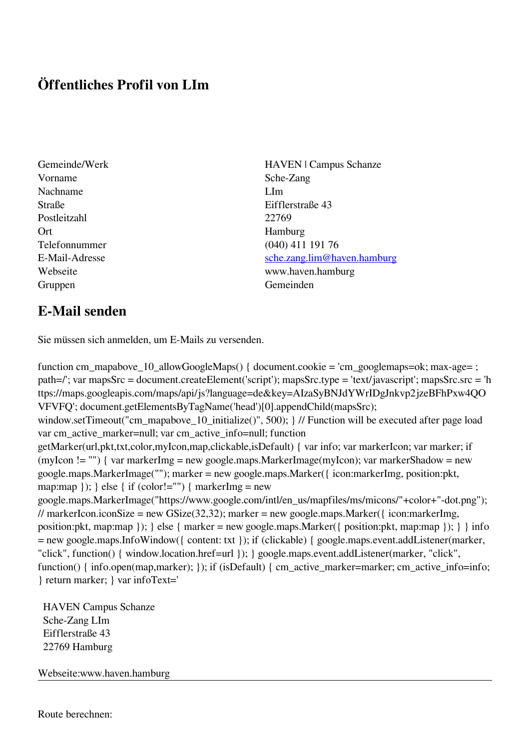## **Öffentliches Profil von LIm**

- Gemeinde/Werk HAVEN | Campus Schanze Vorname Sche-Zang Nachname LIm Straße Eifflerstraße 43 Postleitzahl 22769 Ort Hamburg Telefonnummer (040) 411 191 76 E-Mail-Adresse [sche.zang.lim@haven.hamburg](mailto:sche.zang.lim@haven.hamburg) Webseite www.haven.hamburg Gruppen Gemeinden Gemeinden Gemeinden Gemeinden Gemeinden Gemeinden Gemeinden Gemeinden Gemeinden Gemeinden G
- **E-Mail senden**

Sie müssen sich anmelden, um E-Mails zu versenden.

function cm\_mapabove\_10\_allowGoogleMaps() { document.cookie = 'cm\_googlemaps=ok; max-age= ; path=/'; var mapsSrc = document.createElement('script'); mapsSrc.type = 'text/javascript'; mapsSrc.src = 'h ttps://maps.googleapis.com/maps/api/js?language=de&key=AIzaSyBNJdYWrIDgJnkvp2jzeBFhPxw4QO VFVFQ'; document.getElementsByTagName('head')[0].appendChild(mapsSrc); window.setTimeout("cm\_mapabove\_10\_initialize()", 500); } // Function will be executed after page load var cm\_active\_marker=null; var cm\_active\_info=null; function getMarker(url,pkt,txt,color,myIcon,map,clickable,isDefault) { var info; var markerIcon; var marker; if (myIcon != "") { var markerImg = new google.maps.MarkerImage(myIcon); var markerShadow = new google.maps.MarkerImage(""); marker = new google.maps.Marker({ icon:markerImg, position:pkt, map:map  $\}$ ;  $\}$  else  $\{$  if (color!="")  $\{$  markerImg = new google.maps.MarkerImage("https://www.google.com/intl/en\_us/mapfiles/ms/micons/"+color+"-dot.png"); // markerIcon.iconSize = new GSize(32,32); marker = new google.maps.Marker({ $i$ con:markerImg, position:pkt, map:map }); } else { marker = new google.maps.Marker({ position:pkt, map:map }); } } info = new google.maps.InfoWindow({ content: txt }); if (clickable) { google.maps.event.addListener(marker, "click", function() { window.location.href=url }); } google.maps.event.addListener(marker, "click", function() { info.open(map,marker); }); if (isDefault) { cm\_active\_marker=marker; cm\_active\_info=info; } return marker; } var infoText='

 HAVEN Campus Schanze Sche-Zang LIm Eifflerstraße 43 22769 Hamburg

Webseite:www.haven.hamburg